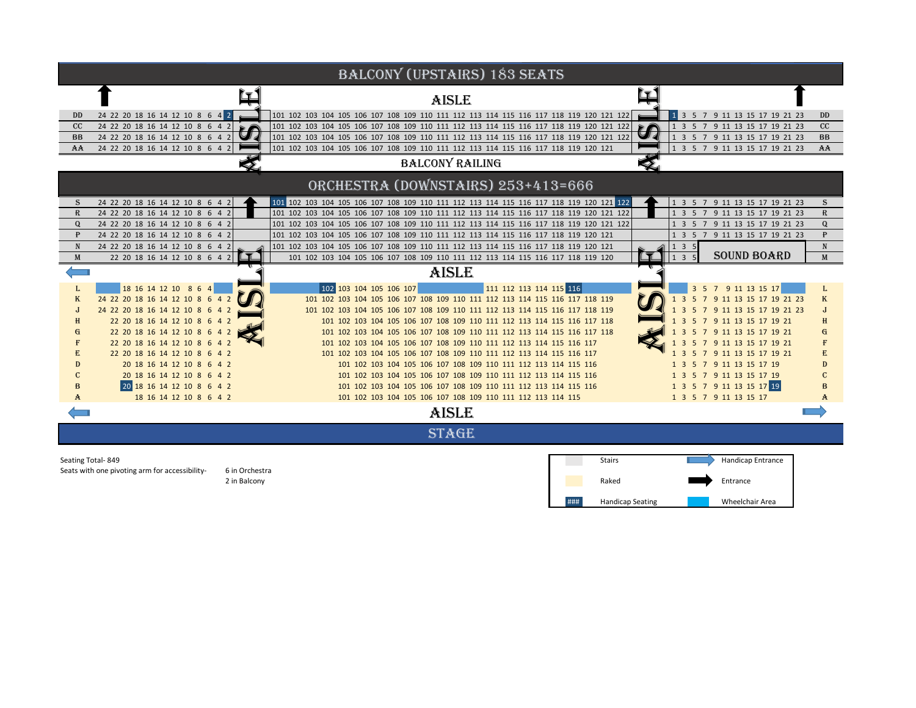| <b>BALCONY (UPSTAIRS) 183 SEATS</b>                              |                                 |                                                                                         |       |                                                     |              |
|------------------------------------------------------------------|---------------------------------|-----------------------------------------------------------------------------------------|-------|-----------------------------------------------------|--------------|
|                                                                  |                                 | <b>AISLE</b>                                                                            |       |                                                     |              |
| DD                                                               | 24 22 20 18 16 14 12 10 8 6 4 2 | 101 102 103 104 105 106 107 108 109 110 111 112 113 114 115 116 117 118 119 120 121 122 |       | 1 3 5 7 9 11 13 15 17 19 21 23                      | DD           |
| CC                                                               | 24 22 20 18 16 14 12 10 8 6 4 2 | 101 102 103 104 105 106 107 108 109 110 111 112 113 114 115 116 117 118 119 120 121 122 |       | 1 3 5 7 9 11 13 15 17 19 21 23                      | CC           |
| <b>BB</b>                                                        | 24 22 20 18 16 14 12 10 8 6 4 2 | 101 102 103 104 105 106 107 108 109 110 111 112 113 114 115 116 117 118 119 120 121 122 |       | 1 3 5 7 9 11 13 15 17 19 21 23                      | BB           |
| AA                                                               | 24 22 20 18 16 14 12 10 8 6 4 2 | 101 102 103 104 105 106 107 108 109 110 111 112 113 114 115 116 117 118 119 120 121     |       | 1 3 5 7 9 11 13 15 17 19 21 23                      | AA           |
| <b>BALCONY RAILING</b>                                           |                                 |                                                                                         |       |                                                     |              |
| ORCHESTRA (DOWNSTAIRS) 253+413=666                               |                                 |                                                                                         |       |                                                     |              |
| S                                                                | 24 22 20 18 16 14 12 10 8 6 4   | 101 102 103 104 105 106 107 108 109 110 111 112 113 114 115 116 117 118 119 120 121 122 |       | 1 3 5 7 9 11 13 15 17 19 21 23                      | S            |
| $\mathbb{R}$                                                     | 24 22 20 18 16 14 12 10 8 6 4   | 101 102 103 104 105 106 107 108 109 110 111 112 113 114 115 116 117 118 119 120 121 122 |       | 1 3 5 7 9 11 13 15 17 19 21 23                      | $\mathbb{R}$ |
| $\Omega$                                                         | 24 22 20 18 16 14 12 10 8 6 4 2 | 101 102 103 104 105 106 107 108 109 110 111 112 113 114 115 116 117 118 119 120 121 122 |       | 1 3 5 7 9 11 13 15 17 19 21 23                      | Q            |
| $\mathbf{P}$                                                     | 24 22 20 18 16 14 12 10 8 6 4 2 | 101 102 103 104 105 106 107 108 109 110 111 112 113 114 115 116 117 118 119 120 121     |       | 1 3 5 7 9 11 13 15 17 19 21 23                      | ₽            |
| N                                                                | 24 22 20 18 16 14 12 10 8 6 4 2 | 101 102 103 104 105 106 107 108 109 110 111 112 113 114 115 116 117 118 119 120 121     |       | 135                                                 | ${\bf N}$    |
| M                                                                | 22 20 18 16 14 12 10 8 6 4      | 101 102 103 104 105 106 107 108 109 110 111 112 113 114 115 116 117 118 119 120         |       | <b>SOUND BOARD</b><br>$1 \overline{3} \overline{5}$ | M            |
| AISLE                                                            |                                 |                                                                                         |       |                                                     |              |
|                                                                  | 18 16 14 12 10 8 6 4            | 111 112 113 114 115 116<br>102 103 104 105 106 107                                      |       | 3 5 7 9 11 13 15 17                                 |              |
| K                                                                | 24 22 20 18 16 14 12 10 8 6 4 2 | 101 102 103 104 105 106 107 108 109 110 111 112 113 114 115 116 117 118 119             |       | 7 9 11 13 15 17 19 21 23<br>1 3<br>-5               | K            |
|                                                                  | 24 22 20 18 16 14 12 10 8 6 4 2 | 101 102 103 104 105 106 107 108 109 110 111 112 113 114 115 116 117 118 119             |       | 3 5 7 9 11 13 15 17 19 21 23                        |              |
|                                                                  | 22 20 18 16 14 12 10 8 6 4 2    | 101 102 103 104 105 106 107 108 109 110 111 112 113 114 115 116 117 118                 |       | 5 7 9 11 13 15 17 19 21<br>3                        |              |
|                                                                  | 22 20 18 16 14 12 10 8 6 4 2    | 101 102 103 104 105 106 107 108 109 110 111 112 113 114 115 116 117 118                 |       | 7 9 11 13 15 17 19 21<br>-5                         | G            |
|                                                                  | 22 20 18 16 14 12 10 8 6 4 2    | 101 102 103 104 105 106 107 108 109 110 111 112 113 114 115 116 117                     |       | 7 9 11 13 15 17 19 21<br>3<br>5                     |              |
|                                                                  | 22 20 18 16 14 12 10 8 6 4 2    | 101 102 103 104 105 106 107 108 109 110 111 112 113 114 115 116 117                     |       | 1 3 5 7 9 11 13 15 17 19 21                         |              |
|                                                                  | 20 18 16 14 12 10 8 6 4 2       | 101 102 103 104 105 106 107 108 109 110 111 112 113 114 115 116                         |       | 1 3 5 7 9 11 13 15 17 19                            |              |
|                                                                  | 20 18 16 14 12 10 8 6 4 2       | 101 102 103 104 105 106 107 108 109 110 111 112 113 114 115 116                         |       | 1 3 5 7 9 11 13 15 17 19                            |              |
|                                                                  | 20 18 16 14 12 10 8 6 4 2       | 101 102 103 104 105 106 107 108 109 110 111 112 113 114 115 116                         |       | 1 3 5 7 9 11 13 15 17 19                            |              |
| A                                                                | 18 16 14 12 10 8 6 4 2          | 101 102 103 104 105 106 107 108 109 110 111 112 113 114 115                             |       | 1 3 5 7 9 11 13 15 17                               | A            |
|                                                                  |                                 | AISLE                                                                                   |       |                                                     |              |
| <b>STAGE</b>                                                     |                                 |                                                                                         |       |                                                     |              |
| Seating Total-849<br>Handicap Entrance<br>Stairs                 |                                 |                                                                                         |       |                                                     |              |
| Seats with one pivoting arm for accessibility-<br>6 in Orchestra |                                 |                                                                                         |       |                                                     |              |
| 2 in Balcony                                                     |                                 |                                                                                         | Raked | Entrance                                            |              |

### Handicap Seating

Wheelchair Area